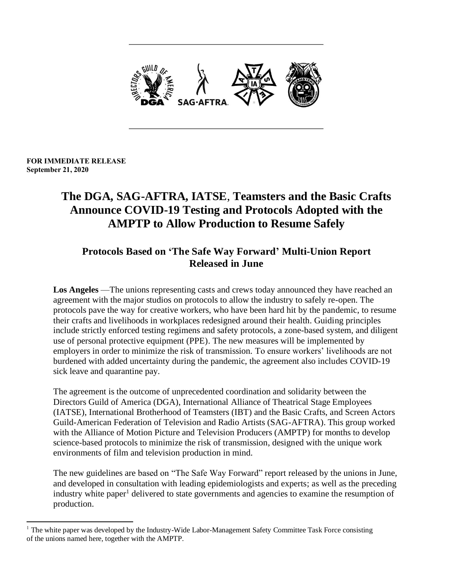

#### **FOR IMMEDIATE RELEASE September 21, 2020**

# **The DGA, SAG-AFTRA, IATSE**, **Teamsters and the Basic Crafts Announce COVID-19 Testing and Protocols Adopted with the AMPTP to Allow Production to Resume Safely**

# **Protocols Based on 'The Safe Way Forward' Multi-Union Report Released in June**

**Los Angeles** —The unions representing casts and crews today announced they have reached an agreement with the major studios on protocols to allow the industry to safely re-open. The protocols pave the way for creative workers, who have been hard hit by the pandemic, to resume their crafts and livelihoods in workplaces redesigned around their health. Guiding principles include strictly enforced testing regimens and safety protocols, a zone-based system, and diligent use of personal protective equipment (PPE). The new measures will be implemented by employers in order to minimize the risk of transmission. To ensure workers' livelihoods are not burdened with added uncertainty during the pandemic, the agreement also includes COVID-19 sick leave and quarantine pay.

The agreement is the outcome of unprecedented coordination and solidarity between the Directors Guild of America (DGA), International Alliance of Theatrical Stage Employees (IATSE), International Brotherhood of Teamsters (IBT) and the Basic Crafts, and Screen Actors Guild-American Federation of Television and Radio Artists (SAG-AFTRA). This group worked with the Alliance of Motion Picture and Television Producers (AMPTP) for months to develop science-based protocols to minimize the risk of transmission, designed with the unique work environments of film and television production in mind.

The new guidelines are based on "The Safe Way Forward" report released by the unions in June, and developed in consultation with leading epidemiologists and experts; as well as the preceding industry white paper<sup>1</sup> delivered to state governments and agencies to examine the resumption of production.

 $1$  The white paper was developed by the Industry-Wide Labor-Management Safety Committee Task Force consisting of the unions named here, together with the AMPTP.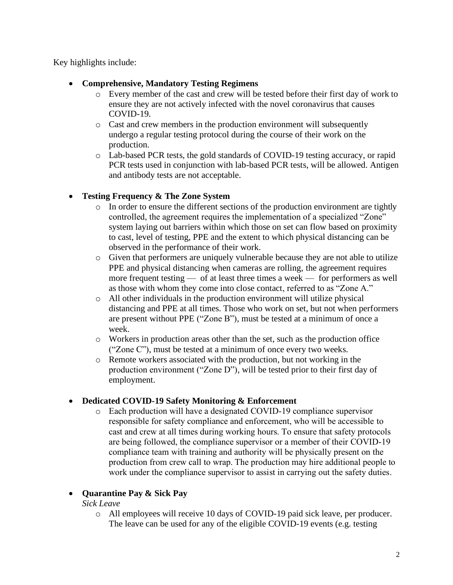Key highlights include:

- **Comprehensive, Mandatory Testing Regimens**
	- o Every member of the cast and crew will be tested before their first day of work to ensure they are not actively infected with the novel coronavirus that causes COVID-19.
	- o Cast and crew members in the production environment will subsequently undergo a regular testing protocol during the course of their work on the production.
	- o Lab-based PCR tests, the gold standards of COVID-19 testing accuracy, or rapid PCR tests used in conjunction with lab-based PCR tests, will be allowed. Antigen and antibody tests are not acceptable.

## • **Testing Frequency & The Zone System**

- o In order to ensure the different sections of the production environment are tightly controlled, the agreement requires the implementation of a specialized "Zone" system laying out barriers within which those on set can flow based on proximity to cast, level of testing, PPE and the extent to which physical distancing can be observed in the performance of their work.
- o Given that performers are uniquely vulnerable because they are not able to utilize PPE and physical distancing when cameras are rolling, the agreement requires more frequent testing — of at least three times a week — for performers as well as those with whom they come into close contact, referred to as "Zone A."
- o All other individuals in the production environment will utilize physical distancing and PPE at all times. Those who work on set, but not when performers are present without PPE ("Zone B"), must be tested at a minimum of once a week.
- o Workers in production areas other than the set, such as the production office ("Zone C"), must be tested at a minimum of once every two weeks.
- o Remote workers associated with the production, but not working in the production environment ("Zone D"), will be tested prior to their first day of employment.

#### • **Dedicated COVID-19 Safety Monitoring & Enforcement**

o Each production will have a designated COVID-19 compliance supervisor responsible for safety compliance and enforcement, who will be accessible to cast and crew at all times during working hours. To ensure that safety protocols are being followed, the compliance supervisor or a member of their COVID-19 compliance team with training and authority will be physically present on the production from crew call to wrap. The production may hire additional people to work under the compliance supervisor to assist in carrying out the safety duties.

# • **Quarantine Pay & Sick Pay**

*Sick Leave*

o All employees will receive 10 days of COVID-19 paid sick leave, per producer. The leave can be used for any of the eligible COVID-19 events (e.g. testing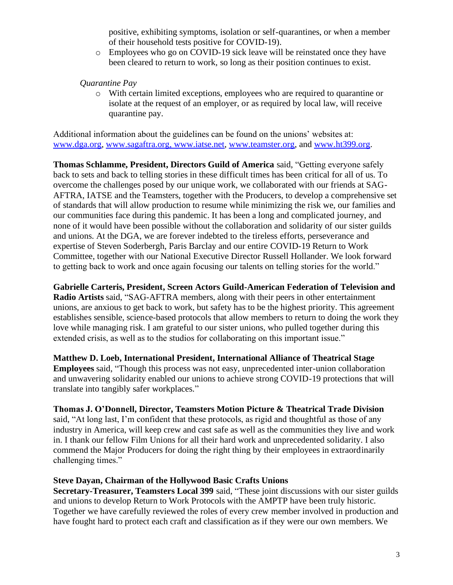positive, exhibiting symptoms, isolation or self-quarantines, or when a member of their household tests positive for COVID-19).

o Employees who go on COVID-19 sick leave will be reinstated once they have been cleared to return to work, so long as their position continues to exist.

### *Quarantine Pay*

o With certain limited exceptions, employees who are required to quarantine or isolate at the request of an employer, or as required by local law, will receive quarantine pay.

Additional information about the guidelines can be found on the unions' websites at: [www.dga.org,](http://www.dga.org/) [www.sagaftra.org,](http://www.sagaftra.org/) [www.iatse.net,](http://www.iatse.net/) [www.teamster.org,](http://www.teamster.org/) and [www.ht399.org.](http://www.ht399.org/)

**Thomas Schlamme, President, Directors Guild of America** said, "Getting everyone safely back to sets and back to telling stories in these difficult times has been critical for all of us. To overcome the challenges posed by our unique work, we collaborated with our friends at SAG-AFTRA, IATSE and the Teamsters, together with the Producers, to develop a comprehensive set of standards that will allow production to resume while minimizing the risk we, our families and our communities face during this pandemic. It has been a long and complicated journey, and none of it would have been possible without the collaboration and solidarity of our sister guilds and unions. At the DGA, we are forever indebted to the tireless efforts, perseverance and expertise of Steven Soderbergh, Paris Barclay and our entire COVID-19 Return to Work Committee, together with our National Executive Director Russell Hollander. We look forward to getting back to work and once again focusing our talents on telling stories for the world."

**Gabrielle Carteris, President, Screen Actors Guild-American Federation of Television and Radio Artists** said, "SAG-AFTRA members, along with their peers in other entertainment unions, are anxious to get back to work, but safety has to be the highest priority. This agreement establishes sensible, science-based protocols that allow members to return to doing the work they love while managing risk. I am grateful to our sister unions, who pulled together during this extended crisis, as well as to the studios for collaborating on this important issue."

**Matthew D. Loeb, International President, International Alliance of Theatrical Stage Employees** said, "Though this process was not easy, unprecedented inter-union collaboration and unwavering solidarity enabled our unions to achieve strong COVID-19 protections that will translate into tangibly safer workplaces."

#### **Thomas J. O'Donnell, Director, Teamsters Motion Picture & Theatrical Trade Division**

said, "At long last, I'm confident that these protocols, as rigid and thoughtful as those of any industry in America, will keep crew and cast safe as well as the communities they live and work in. I thank our fellow Film Unions for all their hard work and unprecedented solidarity. I also commend the Major Producers for doing the right thing by their employees in extraordinarily challenging times."

#### **Steve Dayan, Chairman of the Hollywood Basic Crafts Unions**

**Secretary-Treasurer, Teamsters Local 399** said, "These joint discussions with our sister guilds and unions to develop Return to Work Protocols with the AMPTP have been truly historic. Together we have carefully reviewed the roles of every crew member involved in production and have fought hard to protect each craft and classification as if they were our own members. We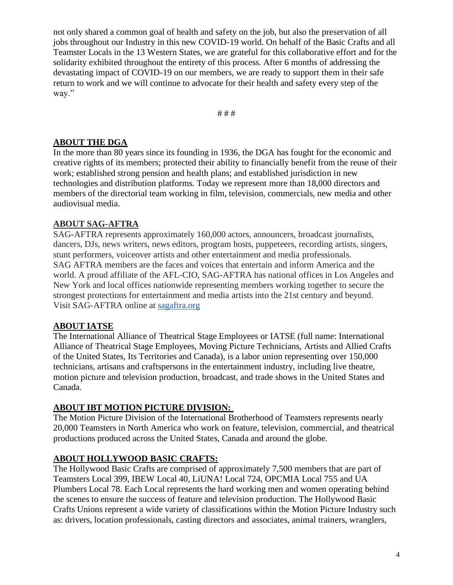not only shared a common goal of health and safety on the job, but also the preservation of all jobs throughout our Industry in this new COVID-19 world. On behalf of the Basic Crafts and all Teamster Locals in the 13 Western States, we are grateful for this collaborative effort and for the solidarity exhibited throughout the entirety of this process. After 6 months of addressing the devastating impact of COVID-19 on our members, we are ready to support them in their safe return to work and we will continue to advocate for their health and safety every step of the way."

# # #

# **ABOUT THE DGA**

In the more than 80 years since its founding in 1936, the DGA has fought for the economic and creative rights of its members; protected their ability to financially benefit from the reuse of their work; established strong pension and health plans; and established jurisdiction in new technologies and distribution platforms. Today we represent more than 18,000 directors and members of the directorial team working in film, television, commercials, new media and other audiovisual media.

## **ABOUT SAG-AFTRA**

SAG-AFTRA represents approximately 160,000 actors, announcers, broadcast journalists, dancers, DJs, news writers, news editors, program hosts, puppeteers, recording artists, singers, stunt performers, voiceover artists and other entertainment and media professionals. SAG AFTRA members are the faces and voices that entertain and inform America and the world. A proud affiliate of the AFL-CIO, SAG-AFTRA has national offices in Los Angeles and New York and local offices nationwide representing members working together to secure the strongest protections for entertainment and media artists into the 21st century and beyond. Visit SAG-AFTRA online at [sagaftra.org](http://sagaftra.org/)

# **ABOUT IATSE**

The International Alliance of Theatrical Stage Employees or IATSE (full name: International Alliance of Theatrical Stage Employees, Moving Picture Technicians, Artists and Allied Crafts of the United States, Its Territories and Canada), is a labor union representing over 150,000 technicians, artisans and craftspersons in the entertainment industry, including live theatre, motion picture and television production, broadcast, and trade shows in the United States and Canada.

# **ABOUT IBT MOTION PICTURE DIVISION:**

The Motion Picture Division of the International Brotherhood of Teamsters represents nearly 20,000 Teamsters in North America who work on feature, television, commercial, and theatrical productions produced across the United States, Canada and around the globe.

# **ABOUT HOLLYWOOD BASIC CRAFTS:**

The Hollywood Basic Crafts are comprised of approximately 7,500 members that are part of Teamsters Local 399, IBEW Local 40, LiUNA! Local 724, OPCMIA Local 755 and UA Plumbers Local 78. Each Local represents the hard working men and women operating behind the scenes to ensure the success of feature and television production. The Hollywood Basic Crafts Unions represent a wide variety of classifications within the Motion Picture Industry such as: drivers, location professionals, casting directors and associates, animal trainers, wranglers,